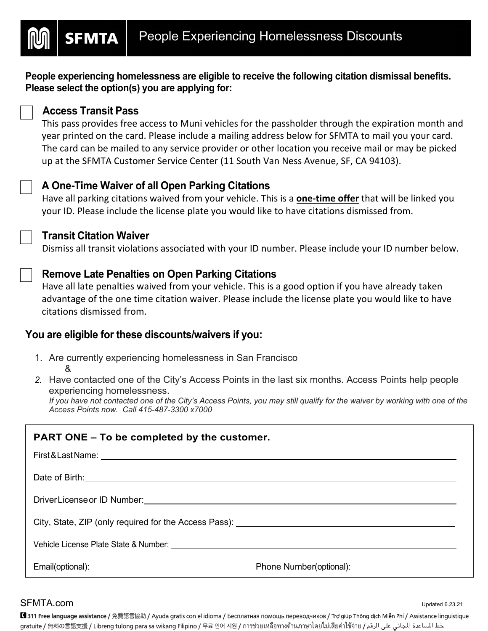**People experiencing homelessness are eligible to receive the following citation dismissal benefits. Please select the option(s) you are applying for:**

### **Access Transit Pass**

**SFMTA** 

This pass provides free access to Muni vehicles for the passholder through the expiration month and year printed on the card. Please include a mailing address below for SFMTA to mail you your card. The card can be mailed to any service provider or other location you receive mail or may be picked up at the SFMTA Customer Service Center (11 South Van Ness Avenue, SF, CA 94103).

# **A One-Time Waiver of all Open Parking Citations**

Have all parking citations waived from your vehicle. This is a **one-time offer** that will be linked you your ID. Please include the license plate you would like to have citations dismissed from.

## **Transit Citation Waiver**

Dismiss all transit violations associated with your ID number. Please include your ID number below.

# **Remove Late Penalties on Open Parking Citations**

Have all late penalties waived from your vehicle. This is a good option if you have already taken advantage of the one time citation waiver. Please include the license plate you would like to have citations dismissed from.

## **You are eligible for these discounts/waivers if you:**

- 1. Are currently experiencing homelessness in San Francisco &
- *2.* Have contacted one of the City's Access Points in the last six months. Access Points help people experiencing homelessness.

*If you have not contacted one of the City's Access Points, you may still qualify for the waiver by working with one of the Access Points now. Call 415-487-3300 x7000*

| <b>PART ONE – To be completed by the customer.</b>                                                                                                                                                                                   |  |
|--------------------------------------------------------------------------------------------------------------------------------------------------------------------------------------------------------------------------------------|--|
|                                                                                                                                                                                                                                      |  |
| Date of Birth: <u>contract and a series of Birth and a series of Birth and a series of Birth and a series of the series of the series of the series of the series of the series of the series of the series of the series of the</u> |  |
|                                                                                                                                                                                                                                      |  |
|                                                                                                                                                                                                                                      |  |
|                                                                                                                                                                                                                                      |  |
|                                                                                                                                                                                                                                      |  |

#### $SFMTA.com$

■ 311 Free language assistance / 免費語言協助 / Ayuda gratis con el idioma / Бесплатная помощь переводчиков / Trợ giúp Thông dịch Miễn Phí / Assistance linguistique gratuite / 無料の言語支援 / Libreng tulong para sa wikang Filipino / 무료 언어 지원 / การช่วยเหลือทางด้านภาษาโดยไม่เสียค่าใช้จ่าย / عظ المساعدة المجاني على الرقم / gratuite / 無料の言語支援 / Libreng tulong para sa wikang Filipino / 무료 언어